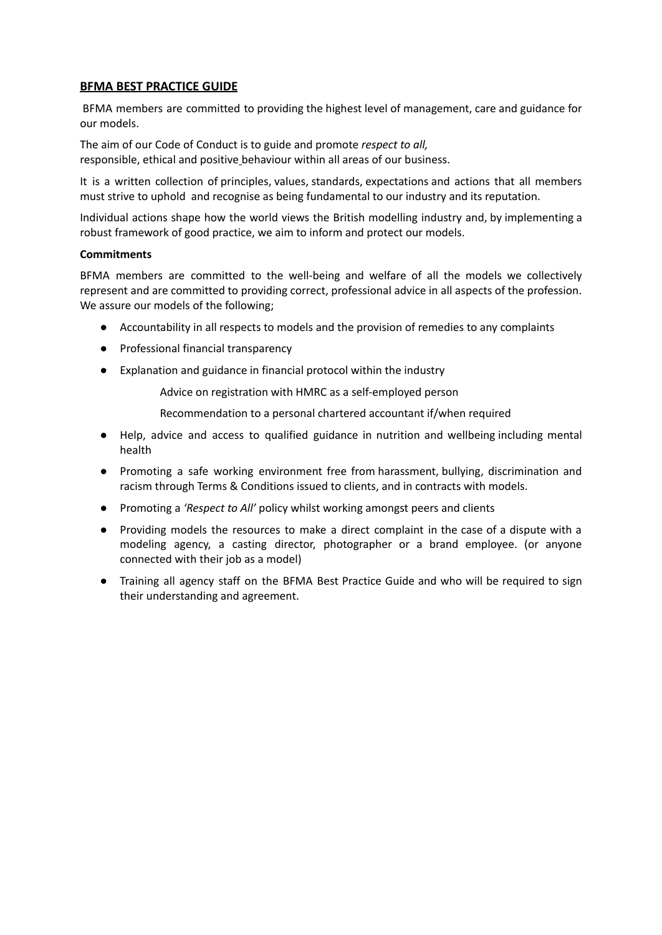# **BFMA BEST PRACTICE GUIDE**

BFMA members are committed to providing the highest level of management, care and guidance for our models.

The aim of our Code of Conduct is to guide and promote *respect to all,* responsible, ethical and positive behaviour within all areas of our business.

It is a written collection of principles, values, standards, expectations and actions that all members must strive to uphold and recognise as being fundamental to our industry and its reputation.

Individual actions shape how the world views the British modelling industry and, by implementing a robust framework of good practice, we aim to inform and protect our models.

#### **Commitments**

BFMA members are committed to the well-being and welfare of all the models we collectively represent and are committed to providing correct, professional advice in all aspects of the profession. We assure our models of the following;

- Accountability in all respects to models and the provision of remedies to any complaints
- Professional financial transparency
- Explanation and guidance in financial protocol within the industry

Advice on registration with HMRC as a self-employed person

- Recommendation to a personal chartered accountant if/when required
- Help, advice and access to qualified guidance in nutrition and wellbeing including mental health
- Promoting a safe working environment free from harassment, bullying, discrimination and racism through Terms & Conditions issued to clients, and in contracts with models.
- Promoting a *'Respect to All'* policy whilst working amongst peers and clients
- Providing models the resources to make a direct complaint in the case of a dispute with a modeling agency, a casting director, photographer or a brand employee. (or anyone connected with their job as a model)
- Training all agency staff on the BFMA Best Practice Guide and who will be required to sign their understanding and agreement.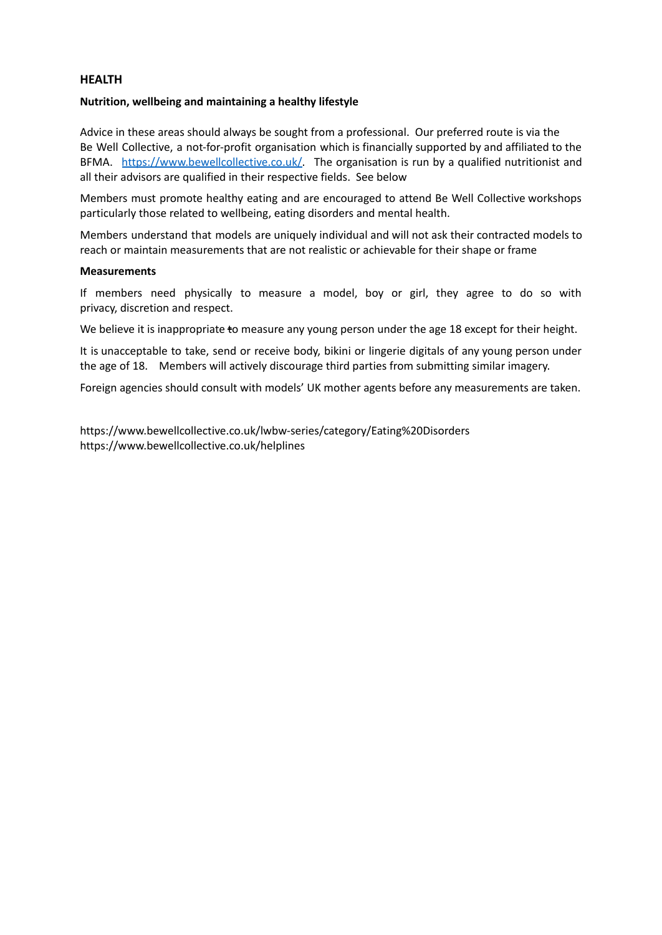## **HEALTH**

#### **Nutrition, wellbeing and maintaining a healthy lifestyle**

Advice in these areas should always be sought from a professional. Our preferred route is via the Be Well Collective, a not-for-profit organisation which is financially supported by and affiliated to the BFMA. <https://www.bewellcollective.co.uk/>. The organisation is run by a qualified nutritionist and all their advisors are qualified in their respective fields. See below

Members must promote healthy eating and are encouraged to attend Be Well Collective workshops particularly those related to wellbeing, eating disorders and mental health.

Members understand that models are uniquely individual and will not ask their contracted models to reach or maintain measurements that are not realistic or achievable for their shape or frame

#### **Measurements**

If members need physically to measure a model, boy or girl, they agree to do so with privacy, discretion and respect.

We believe it is inappropriate to measure any young person under the age 18 except for their height.

It is unacceptable to take, send or receive body, bikini or lingerie digitals of any young person under the age of 18. Members will actively discourage third parties from submitting similar imagery.

Foreign agencies should consult with models' UK mother agents before any measurements are taken.

https://www.bewellcollective.co.uk/lwbw-series/category/Eating%20Disorders https://www.bewellcollective.co.uk/helplines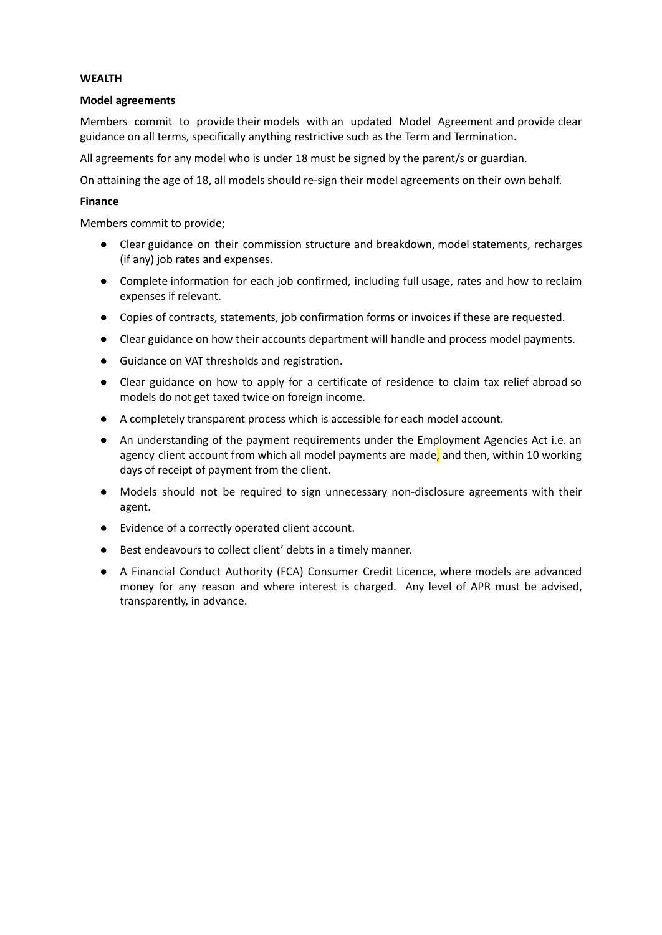# **WEALTH**

## **Model agreements**

Members commit to provide their models with an updated Model Agreement and provide clear guidance on all terms, specifically anything restrictive such as the Term and Termination.

All agreements for any model who is under 18 must be signed by the parent/s or guardian.

On attaining the age of 18, all models should re-sign their model agreements on their own behalf.

# **Finance**

Members commit to provide;

- Clear guidance on their commission structure and breakdown, model statements, recharges (if any) job rates and expenses.
- Complete information for each job confirmed, including full usage, rates and how to reclaim expenses if relevant.
- Copies of contracts, statements, job confirmation forms or invoices if these are requested.
- Clear guidance on how their accounts department will handle and process model payments.
- Guidance on VAT thresholds and registration.
- Clear guidance on how to apply for a certificate of residence to claim tax relief abroad so models do not get taxed twice on foreign income.
- A completely transparent process which is accessible for each model account.
- An understanding of the payment requirements under the Employment Agencies Act i.e. an agency client account from which all model payments are made, and then, within 10 working days of receipt of payment from the client.
- Models should not be required to sign unnecessary non-disclosure agreements with their agent.
- Evidence of a correctly operated client account.
- Best endeavours to collect client' debts in a timely manner.
- A Financial Conduct Authority (FCA) Consumer Credit Licence, where models are advanced money for any reason and where interest is charged. Any level of APR must be advised, transparently, in advance.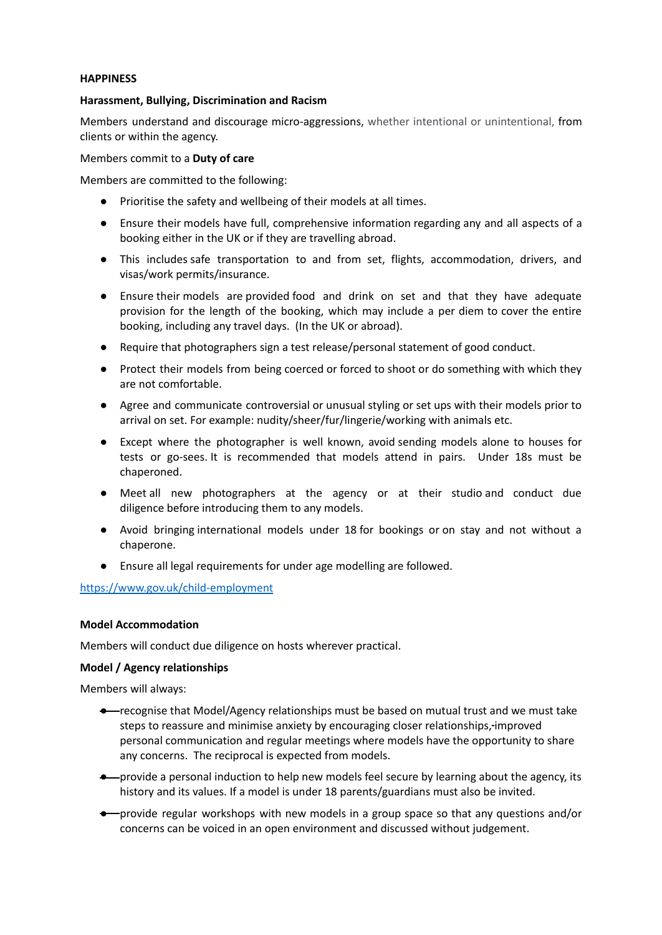## **HAPPINESS**

#### **Harassment, Bullying, Discrimination and Racism**

Members understand and discourage micro-aggressions, whether intentional or unintentional, from clients or within the agency.

Members commit to a **Duty of care**

Members are committed to the following:

- Prioritise the safety and wellbeing of their models at all times.
- Ensure their models have full, comprehensive information regarding any and all aspects of a booking either in the UK or if they are travelling abroad.
- This includes safe transportation to and from set, flights, accommodation, drivers, and visas/work permits/insurance.
- Ensure their models are provided food and drink on set and that they have adequate provision for the length of the booking, which may include a per diem to cover the entire booking, including any travel days. (In the UK or abroad).
- Require that photographers sign a test release/personal statement of good conduct.
- Protect their models from being coerced or forced to shoot or do something with which they are not comfortable.
- Agree and communicate controversial or unusual styling or set ups with their models prior to arrival on set. For example: nudity/sheer/fur/lingerie/working with animals etc.
- Except where the photographer is well known, avoid sending models alone to houses for tests or go-sees. It is recommended that models attend in pairs. Under 18s must be chaperoned.
- Meet all new photographers at the agency or at their studio and conduct due diligence before introducing them to any models.
- Avoid bringing international models under 18 for bookings or on stay and not without a chaperone.
- Ensure all legal requirements for under age modelling are followed.

<https://www.gov.uk/child-employment>

## **Model Accommodation**

Members will conduct due diligence on hosts wherever practical.

## **Model / Agency relationships**

Members will always:

- recognise that Model/Agency relationships must be based on mutual trust and we must take steps to reassure and minimise anxiety by encouraging closer relationships, improved personal communication and regular meetings where models have the opportunity to share any concerns. The reciprocal is expected from models.
- provide a personal induction to help new models feel secure by learning about the agency, its history and its values. If a model is under 18 parents/guardians must also be invited.
- provide regular workshops with new models in a group space so that any questions and/or concerns can be voiced in an open environment and discussed without judgement.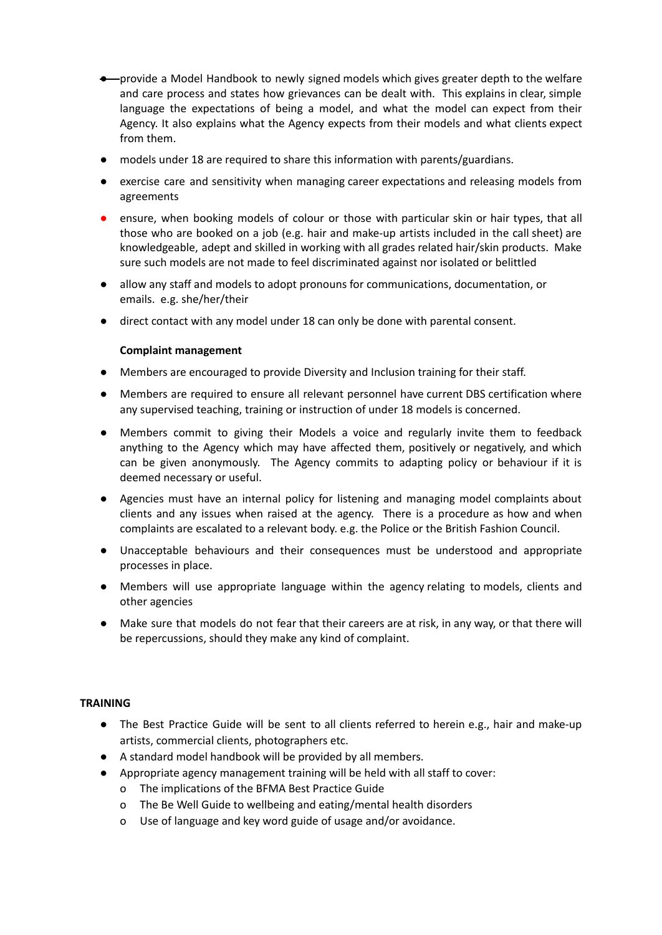- provide a Model Handbook to newly signed models which gives greater depth to the welfare and care process and states how grievances can be dealt with. This explains in clear, simple language the expectations of being a model, and what the model can expect from their Agency. It also explains what the Agency expects from their models and what clients expect from them.
- models under 18 are required to share this information with parents/guardians.
- exercise care and sensitivity when managing career expectations and releasing models from agreements
- ensure, when booking models of colour or those with particular skin or hair types, that all those who are booked on a job (e.g. hair and make-up artists included in the call sheet) are knowledgeable, adept and skilled in working with all grades related hair/skin products. Make sure such models are not made to feel discriminated against nor isolated or belittled
- allow any staff and models to adopt pronouns for communications, documentation, or emails. e.g. she/her/their
- direct contact with any model under 18 can only be done with parental consent.

## **Complaint management**

- Members are encouraged to provide Diversity and Inclusion training for their staff.
- Members are required to ensure all relevant personnel have current DBS certification where any supervised teaching, training or instruction of under 18 models is concerned.
- Members commit to giving their Models a voice and regularly invite them to feedback anything to the Agency which may have affected them, positively or negatively, and which can be given anonymously. The Agency commits to adapting policy or behaviour if it is deemed necessary or useful.
- Agencies must have an internal policy for listening and managing model complaints about clients and any issues when raised at the agency. There is a procedure as how and when complaints are escalated to a relevant body. e.g. the Police or the British Fashion Council.
- Unacceptable behaviours and their consequences must be understood and appropriate processes in place.
- Members will use appropriate language within the agency relating to models, clients and other agencies
- Make sure that models do not fear that their careers are at risk, in any way, or that there will be repercussions, should they make any kind of complaint.

#### **TRAINING**

- The Best Practice Guide will be sent to all clients referred to herein e.g., hair and make-up artists, commercial clients, photographers etc.
- A standard model handbook will be provided by all members.
- Appropriate agency management training will be held with all staff to cover:
	- o The implications of the BFMA Best Practice Guide
	- o The Be Well Guide to wellbeing and eating/mental health disorders
	- o Use of language and key word guide of usage and/or avoidance.